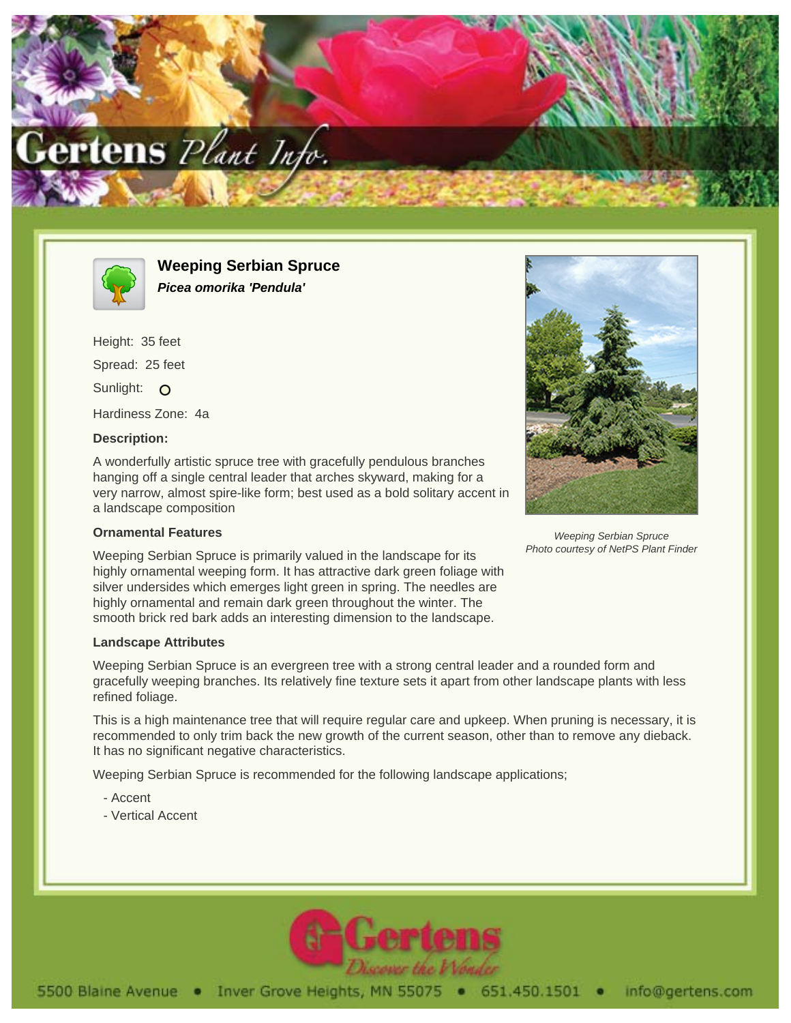



**Weeping Serbian Spruce Picea omorika 'Pendula'**

Height: 35 feet Spread: 25 feet Sunlight: O Hardiness Zone: 4a

## **Description:**

A wonderfully artistic spruce tree with gracefully pendulous branches hanging off a single central leader that arches skyward, making for a very narrow, almost spire-like form; best used as a bold solitary accent in a landscape composition

## **Ornamental Features**

Weeping Serbian Spruce is primarily valued in the landscape for its highly ornamental weeping form. It has attractive dark green foliage with silver undersides which emerges light green in spring. The needles are highly ornamental and remain dark green throughout the winter. The smooth brick red bark adds an interesting dimension to the landscape.

## **Landscape Attributes**

Weeping Serbian Spruce is an evergreen tree with a strong central leader and a rounded form and gracefully weeping branches. Its relatively fine texture sets it apart from other landscape plants with less refined foliage.

This is a high maintenance tree that will require regular care and upkeep. When pruning is necessary, it is recommended to only trim back the new growth of the current season, other than to remove any dieback. It has no significant negative characteristics.

Weeping Serbian Spruce is recommended for the following landscape applications;

- Accent
- Vertical Accent





Weeping Serbian Spruce Photo courtesy of NetPS Plant Finder